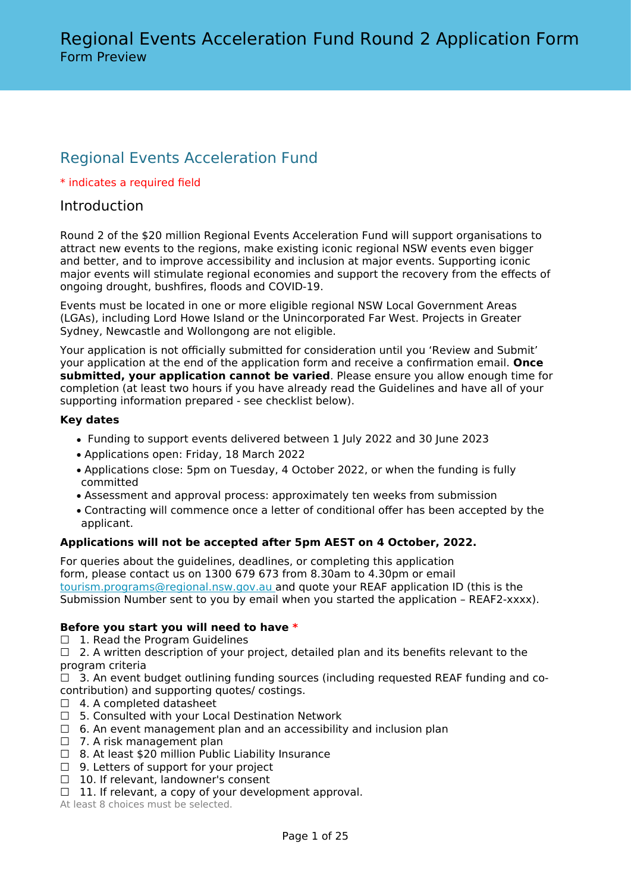# Regional Events Acceleration Fund

# \* indicates a required field

# Introduction

Round 2 of the \$20 million Regional Events Acceleration Fund will support organisations to attract new events to the regions, make existing iconic regional NSW events even bigger and better, and to improve accessibility and inclusion at major events. Supporting iconic major events will stimulate regional economies and support the recovery from the effects of ongoing drought, bushfires, floods and COVID-19.

Events must be located in one or more eligible regional NSW Local Government Areas (LGAs), including Lord Howe Island or the Unincorporated Far West. Projects in Greater Sydney, Newcastle and Wollongong are not eligible.

Your application is not officially submitted for consideration until you 'Review and Submit' your application at the end of the application form and receive a confirmation email. **Once submitted, your application cannot be varied**. Please ensure you allow enough time for completion (at least two hours if you have already read the Guidelines and have all of your supporting information prepared - see checklist below).

### **Key dates**

- Funding to support events delivered between 1 July 2022 and 30 June 2023
- Applications open: Friday, 18 March 2022
- Applications close: 5pm on Tuesday, 4 October 2022, or when the funding is fully committed
- Assessment and approval process: approximately ten weeks from submission
- Contracting will commence once a letter of conditional offer has been accepted by the applicant.

# **Applications will not be accepted after 5pm AEST on 4 October, 2022.**

For queries about the guidelines, deadlines, or completing this application form, please contact us on 1300 679 673 from 8.30am to 4.30pm or email [tourism.programs@regional.nsw.gov.au](mailto:tourism.programs@regional.nsw.gov.au%20) and quote your REAF application ID (this is the Submission Number sent to you by email when you started the application – REAF2-xxxx).

# **Before you start you will need to have \***

□ 1. Read the Program Guidelines

 $\Box$  2. A written description of your project, detailed plan and its benefits relevant to the program criteria

 $\Box$  3. An event budget outlining funding sources (including requested REAF funding and cocontribution) and supporting quotes/ costings.

- $\Box$  4. A completed datasheet
- ☐ 5. Consulted with your Local Destination Network
- $\Box$  6. An event management plan and an accessibility and inclusion plan
- $\Box$  7. A risk management plan
- □ 8. At least \$20 million Public Liability Insurance
- □ 9. Letters of support for your project
- □ 10. If relevant, landowner's consent
- $\Box$  11. If relevant, a copy of your development approval.

At least 8 choices must be selected.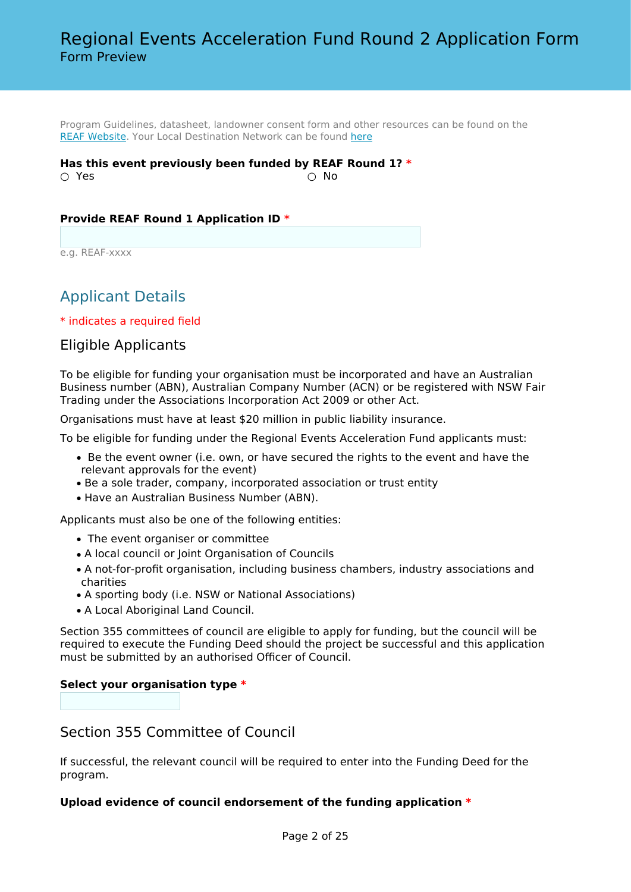Program Guidelines, datasheet, landowner consent form and other resources can be found on the [REAF Website](https://www.nsw.gov.au/regional-growth-fund/regional-events-acceleration-fund). Your Local Destination Network can be found [here](https://www.destinationnsw.com.au/our-industry/destination-networks)

### **Has this event previously been funded by REAF Round 1? \***

 $\bigcirc$  Yes  $\bigcirc$  No

### **Provide REAF Round 1 Application ID \***

e.g. REAF-xxxx

# Applicant Details

\* indicates a required field

# Eligible Applicants

To be eligible for funding your organisation must be incorporated and have an Australian Business number (ABN), Australian Company Number (ACN) or be registered with NSW Fair Trading under the Associations Incorporation Act 2009 or other Act.

Organisations must have at least \$20 million in public liability insurance.

To be eligible for funding under the Regional Events Acceleration Fund applicants must:

- Be the event owner (i.e. own, or have secured the rights to the event and have the relevant approvals for the event)
- Be a sole trader, company, incorporated association or trust entity
- Have an Australian Business Number (ABN).

Applicants must also be one of the following entities:

- The event organiser or committee
- A local council or Joint Organisation of Councils
- A not-for-profit organisation, including business chambers, industry associations and charities
- A sporting body (i.e. NSW or National Associations)
- A Local Aboriginal Land Council.

Section 355 committees of council are eligible to apply for funding, but the council will be required to execute the Funding Deed should the project be successful and this application must be submitted by an authorised Officer of Council.

### **Select your organisation type \***

# Section 355 Committee of Council

If successful, the relevant council will be required to enter into the Funding Deed for the program.

### **Upload evidence of council endorsement of the funding application \***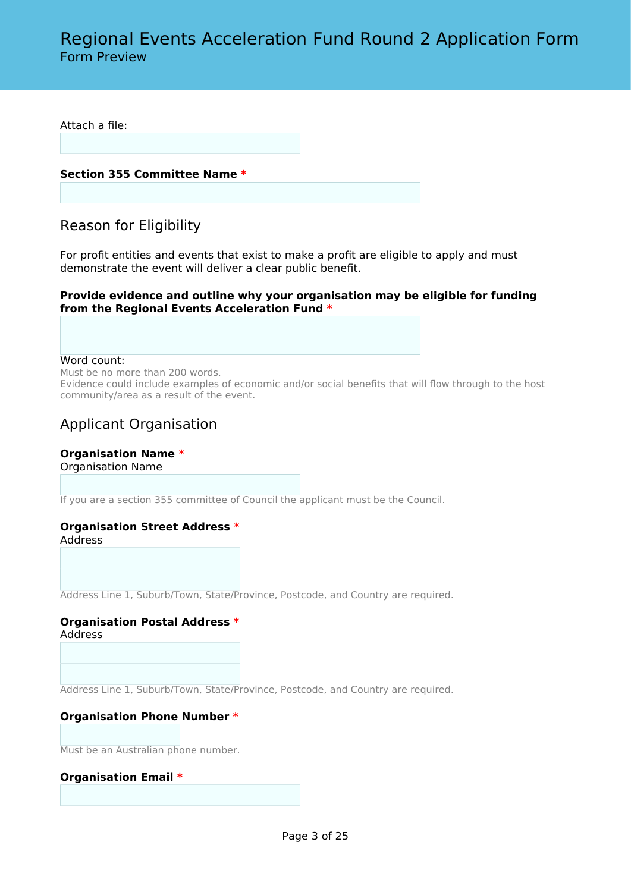# Regional Events Acceleration Fund Round 2 Application Form Form Preview

Attach a file:

**Section 355 Committee Name \***

Reason for Eligibility

For profit entities and events that exist to make a profit are eligible to apply and must demonstrate the event will deliver a clear public benefit.

#### **Provide evidence and outline why your organisation may be eligible for funding from the Regional Events Acceleration Fund \***

#### Word count:

Must be no more than 200 words. Evidence could include examples of economic and/or social benefits that will flow through to the host community/area as a result of the event.

# Applicant Organisation

**Organisation Name \*** Organisation Name

If you are a section 355 committee of Council the applicant must be the Council.

# **Organisation Street Address \***

Address

Address Line 1, Suburb/Town, State/Province, Postcode, and Country are required.

#### **Organisation Postal Address \*** Address

Address Line 1, Suburb/Town, State/Province, Postcode, and Country are required.

### **Organisation Phone Number \***

Must be an Australian phone number.

### **Organisation Email \***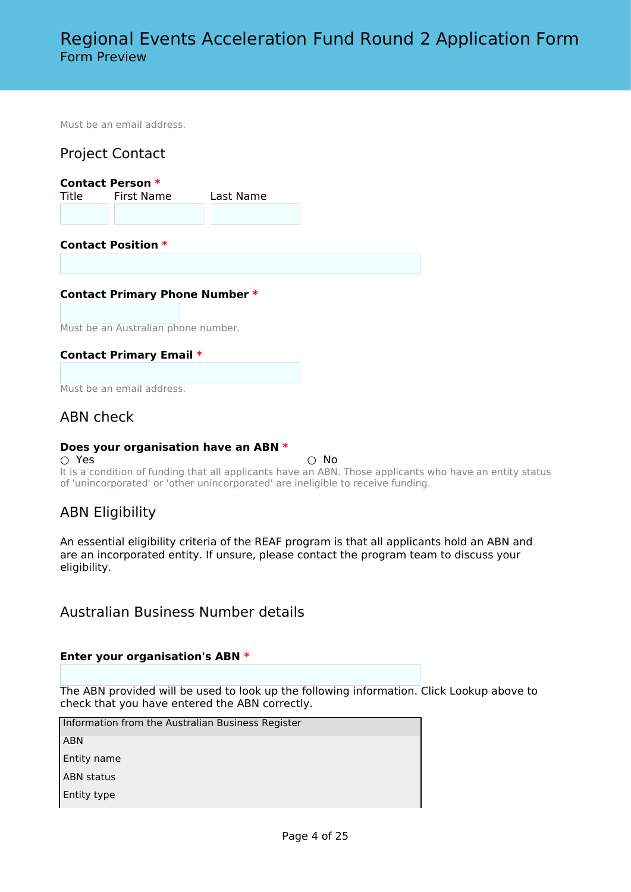Must be an email address.

|                                      | <b>Project Contact</b>                       |           |  |  |  |  |
|--------------------------------------|----------------------------------------------|-----------|--|--|--|--|
| Title                                | <b>Contact Person *</b><br><b>First Name</b> | Last Name |  |  |  |  |
|                                      | <b>Contact Position *</b>                    |           |  |  |  |  |
| Contact Primary Phone Number *       |                                              |           |  |  |  |  |
| Must be an Australian phone number.  |                                              |           |  |  |  |  |
|                                      | <b>Contact Primary Email *</b>               |           |  |  |  |  |
|                                      | Must be an email address.                    |           |  |  |  |  |
| <b>ABN</b> check                     |                                              |           |  |  |  |  |
| Does your organisation have an ABN * |                                              |           |  |  |  |  |

 $O$  Yes  $O$  No It is a condition of funding that all applicants have an ABN. Those applicants who have an entity status of 'unincorporated' or 'other unincorporated' are ineligible to receive funding.

# ABN Eligibility

An essential eligibility criteria of the REAF program is that all applicants hold an ABN and are an incorporated entity. If unsure, please contact the program team to discuss your eligibility.

# Australian Business Number details

# **Enter your organisation's ABN \***

The ABN provided will be used to look up the following information. Click Lookup above to check that you have entered the ABN correctly.

 Information from the Australian Business Register ABN Entity name ABN status Entity type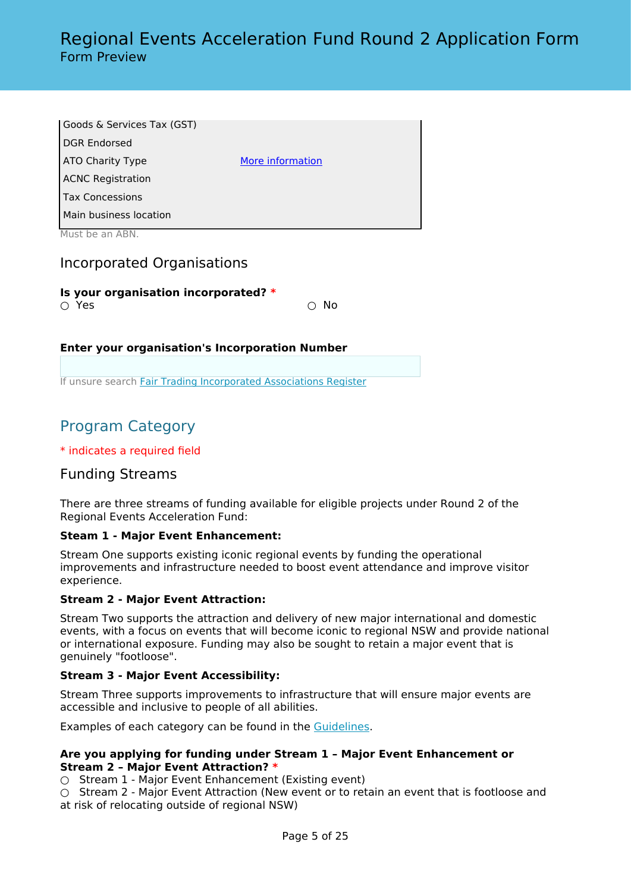| Goods & Services Tax (GST) |                  |  |  |  |
|----------------------------|------------------|--|--|--|
| <b>DGR Endorsed</b>        |                  |  |  |  |
| ATO Charity Type           | More information |  |  |  |
| <b>ACNC Registration</b>   |                  |  |  |  |
| <b>Tax Concessions</b>     |                  |  |  |  |
| Main business location     |                  |  |  |  |
| Must be an ABN.            |                  |  |  |  |

# Incorporated Organisations

| Is your organisation incorporated? * |      |  |
|--------------------------------------|------|--|
| ○ Yes                                | ∩ No |  |

### **Enter your organisation's Incorporation Number**

If unsure search [Fair Trading Incorporated Associations Register](http://associationspr.fairtrading.nsw.gov.au/default.aspx)

# Program Category

### \* indicates a required field

# Funding Streams

There are three streams of funding available for eligible projects under Round 2 of the Regional Events Acceleration Fund:

### **Steam 1 - Major Event Enhancement:**

Stream One supports existing iconic regional events by funding the operational improvements and infrastructure needed to boost event attendance and improve visitor experience.

### **Stream 2 - Major Event Attraction:**

Stream Two supports the attraction and delivery of new major international and domestic events, with a focus on events that will become iconic to regional NSW and provide national or international exposure. Funding may also be sought to retain a major event that is genuinely "footloose".

### **Stream 3 - Major Event Accessibility:**

Stream Three supports improvements to infrastructure that will ensure major events are accessible and inclusive to people of all abilities.

Examples of each category can be found in the [Guidelines.](https://www.nsw.gov.au/regional-growth-fund/regional-events-acceleration-fund)

#### **Are you applying for funding under Stream 1 – Major Event Enhancement or Stream 2 – Major Event Attraction? \***

○ Stream 1 - Major Event Enhancement (Existing event)

○ Stream 2 - Major Event Attraction (New event or to retain an event that is footloose and at risk of relocating outside of regional NSW)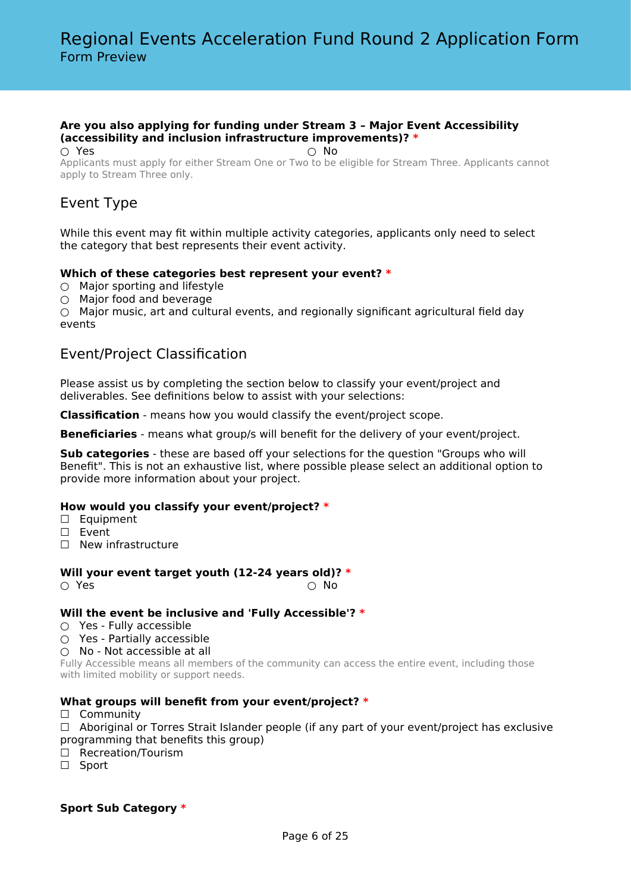# **Are you also applying for funding under Stream 3 – Major Event Accessibility (accessibility and inclusion infrastructure improvements)? \***

 $\circlearrowright$  Yes  $\circlearrowright$  No. Applicants must apply for either Stream One or Two to be eligible for Stream Three. Applicants cannot apply to Stream Three only.

# Event Type

While this event may fit within multiple activity categories, applicants only need to select the category that best represents their event activity.

# **Which of these categories best represent your event? \***

- $\bigcirc$  Major sporting and lifestyle
- $\bigcirc$  Major food and beverage

 $\bigcirc$  Major music, art and cultural events, and regionally significant agricultural field day events

# Event/Project Classification

Please assist us by completing the section below to classify your event/project and deliverables. See definitions below to assist with your selections:

**Classification** - means how you would classify the event/project scope.

**Beneficiaries** - means what group/s will benefit for the delivery of your event/project.

**Sub categories** - these are based off your selections for the question "Groups who will Benefit". This is not an exhaustive list, where possible please select an additional option to provide more information about your project.

# **How would you classify your event/project? \***

- □ Equipment
- □ Event
- $\n  $\Box$ \n New infrastructure$

### **Will your event target youth (12-24 years old)? \***

 $\bigcirc$  Yes  $\bigcirc$  No

# **Will the event be inclusive and 'Fully Accessible'? \***

- Yes Fully accessible
- $\bigcirc$  Yes Partially accessible
- $\bigcirc$  No Not accessible at all

Fully Accessible means all members of the community can access the entire event, including those with limited mobility or support needs.

# **What groups will benefit from your event/project? \***

□ Community

□ Aboriginal or Torres Strait Islander people (if any part of your event/project has exclusive programming that benefits this group)

- □ Recreation/Tourism
- □ Sport

# **Sport Sub Category \***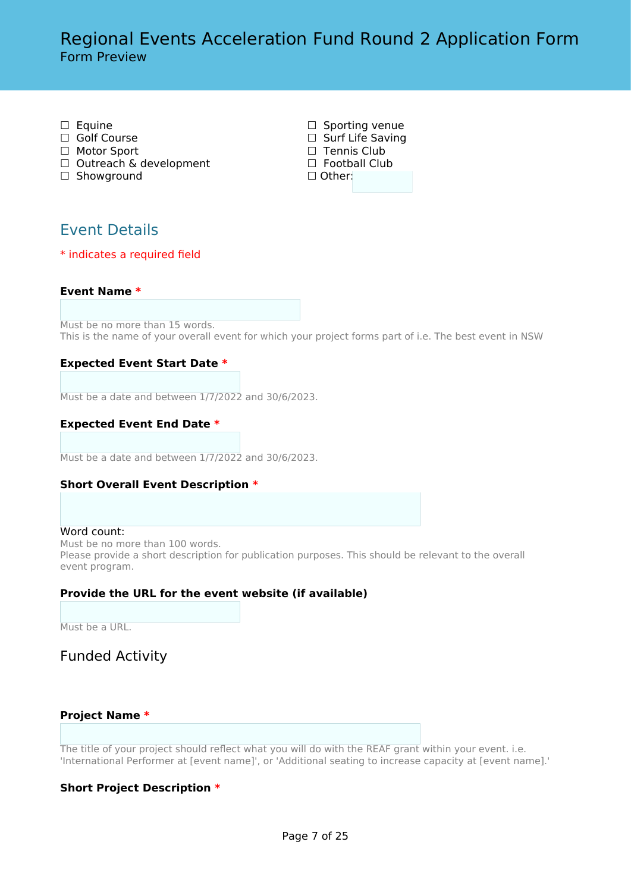# Regional Events Acceleration Fund Round 2 Application Form Form Preview

- 
- 
- ☐ Motor Sport ☐ Tennis Club
- ☐ Outreach & development ☐ Football Club
- ☐ Showground ☐ Other:
- ☐ Equine ☐ Sporting venue ☐ Golf Course ☐ Surf Life Saving

# Event Details

#### \* indicates a required field

#### **Event Name \***

Must be no more than 15 words. This is the name of your overall event for which your project forms part of i.e. The best event in NSW

### **Expected Event Start Date \***

Must be a date and between 1/7/2022 and 30/6/2023.

### **Expected Event End Date \***

Must be a date and between 1/7/2022 and 30/6/2023.

### **Short Overall Event Description \***

#### Word count:

Must be no more than 100 words.

Please provide a short description for publication purposes. This should be relevant to the overall event program.

### **Provide the URL for the event website (if available)**

Must be a URL.

# Funded Activity

### **Project Name \***

The title of your project should reflect what you will do with the REAF grant within your event. i.e. 'International Performer at [event name]', or 'Additional seating to increase capacity at [event name].'

### **Short Project Description \***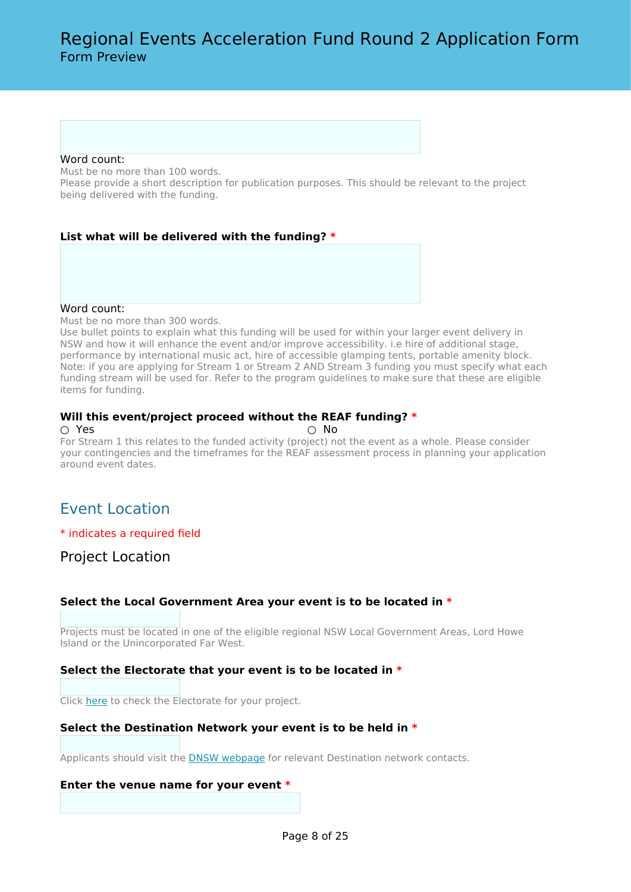#### Word count:

Must be no more than 100 words.

Please provide a short description for publication purposes. This should be relevant to the project being delivered with the funding.

### **List what will be delivered with the funding? \***

#### Word count:

Must be no more than 300 words.

Use bullet points to explain what this funding will be used for within your larger event delivery in NSW and how it will enhance the event and/or improve accessibility. i.e hire of additional stage, performance by international music act, hire of accessible glamping tents, portable amenity block. Note: if you are applying for Stream 1 or Stream 2 AND Stream 3 funding you must specify what each funding stream will be used for. Refer to the program guidelines to make sure that these are eligible items for funding.

### **Will this event/project proceed without the REAF funding? \***

 $\bigcirc$  Yes  $\bigcirc$  No For Stream 1 this relates to the funded activity (project) not the event as a whole. Please consider your contingencies and the timeframes for the REAF assessment process in planning your application around event dates.

# Event Location

### \* indicates a required field

Project Location

# **Select the Local Government Area your event is to be located in \***

Projects must be located in one of the eligible regional NSW Local Government Areas, Lord Howe Island or the Unincorporated Far West.

# **Select the Electorate that your event is to be located in \***

Click [here](https://www.elections.nsw.gov.au/Elections/Find-my-electorate) to check the Electorate for your project.

### **Select the Destination Network your event is to be held in \***

Applicants should visit the [DNSW webpage](https://www.destinationnsw.com.au/our-industry/contacts-and-associations/dns) for relevant Destination network contacts.

### **Enter the venue name for your event \***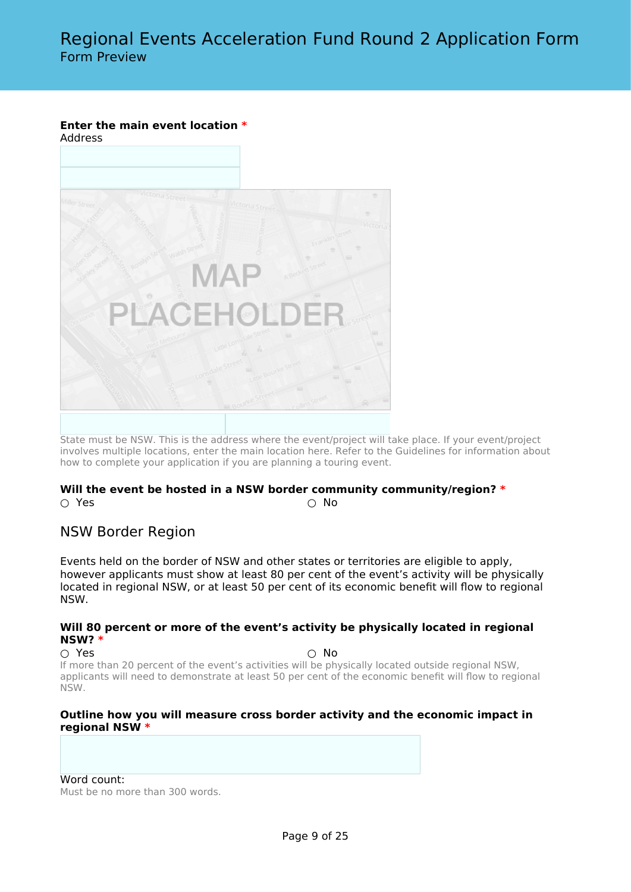# **Enter the main event location \***

Address



State must be NSW. This is the address where the event/project will take place. If your event/project involves multiple locations, enter the main location here. Refer to the Guidelines for information about how to complete your application if you are planning a touring event.

#### **Will the event be hosted in a NSW border community community/region? \***  $\bigcirc$  Yes  $\bigcirc$  No

# NSW Border Region

Events held on the border of NSW and other states or territories are eligible to apply, however applicants must show at least 80 per cent of the event's activity will be physically located in regional NSW, or at least 50 per cent of its economic benefit will flow to regional NSW.

### **Will 80 percent or more of the event's activity be physically located in regional NSW? \***

○ Yes ○ No If more than 20 percent of the event's activities will be physically located outside regional NSW, applicants will need to demonstrate at least 50 per cent of the economic benefit will flow to regional NSW.

### **Outline how you will measure cross border activity and the economic impact in regional NSW \***

Word count: Must be no more than 300 words.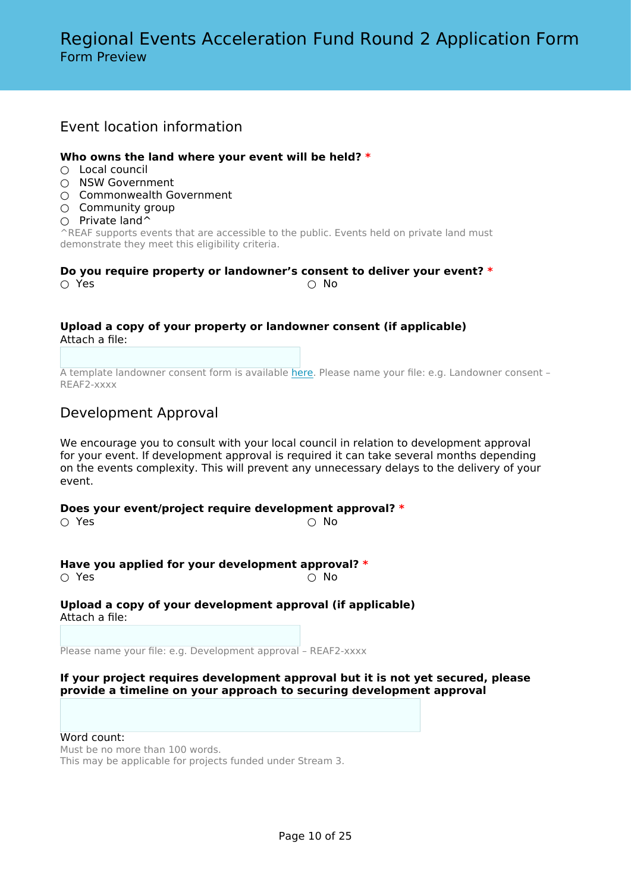# Event location information

### **Who owns the land where your event will be held? \***

- $\cap$  Local council
- NSW Government
- Commonwealth Government
- $\bigcirc$  Community group
- $\cap$  Private land<sup> $\cap$ </sup>

^REAF supports events that are accessible to the public. Events held on private land must demonstrate they meet this eligibility criteria.

**Do you require property or landowner's consent to deliver your event? \*** ○ Yes ○ No

### **Upload a copy of your property or landowner consent (if applicable)** Attach a file:

A template landowner consent form is available [here.](http://nsw.gov.au/reafund) Please name your file: e.g. Landowner consent – REAF2-xxxx

# Development Approval

We encourage you to consult with your local council in relation to development approval for your event. If development approval is required it can take several months depending on the events complexity. This will prevent any unnecessary delays to the delivery of your event.

### **Does your event/project require development approval? \***

 $\cap$  Yes  $\cap$  No.

**Have you applied for your development approval? \***  $\circlearrowright$  Yes  $\circlearrowright$  No.

**Upload a copy of your development approval (if applicable)** Attach a file:

Please name your file: e.g. Development approval – REAF2-xxxx

### **If your project requires development approval but it is not yet secured, please provide a timeline on your approach to securing development approval**

Word count: Must be no more than 100 words. This may be applicable for projects funded under Stream 3.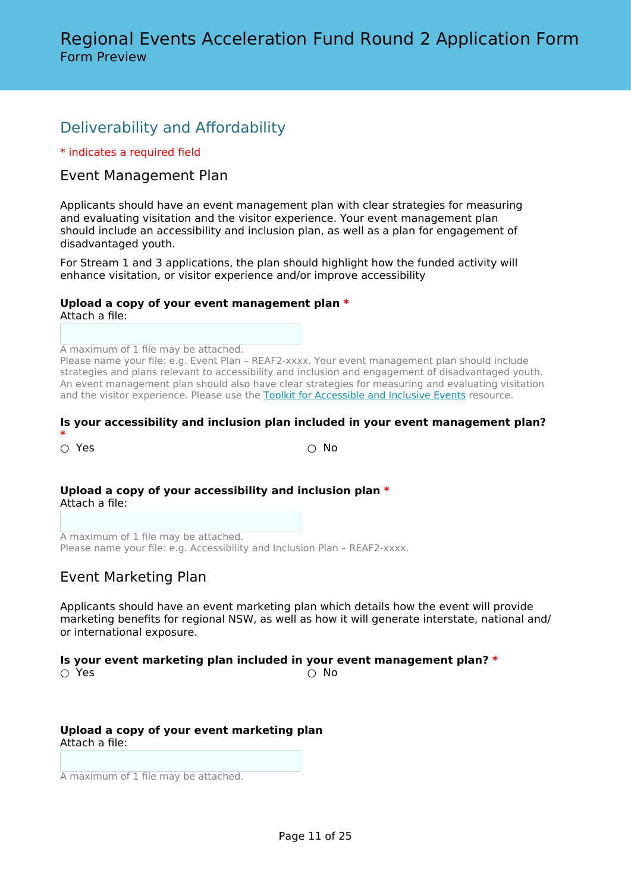# Deliverability and Affordability

### \* indicates a required field

# Event Management Plan

Applicants should have an event management plan with clear strategies for measuring and evaluating visitation and the visitor experience. Your event management plan should include an accessibility and inclusion plan, as well as a plan for engagement of disadvantaged youth.

For Stream 1 and 3 applications, the plan should highlight how the funded activity will enhance visitation, or visitor experience and/or improve accessibility

#### **Upload a copy of your event management plan \*** Attach a file:

A maximum of 1 file may be attached.

Please name your file: e.g. Event Plan – REAF2-xxxx. Your event management plan should include strategies and plans relevant to accessibility and inclusion and engagement of disadvantaged youth. An event management plan should also have clear strategies for measuring and evaluating visitation and the visitor experience. Please use the [Toolkit for Accessible and Inclusive Events](https://www.dpc.nsw.gov.au/tools-and-resources/event-starter-guide/accessibility/) resource.

### **Is your accessibility and inclusion plan included in your event management plan? \***

 $\bigcirc$  Yes  $\bigcirc$  No

### **Upload a copy of your accessibility and inclusion plan \*** Attach a file:

A maximum of 1 file may be attached. Please name your file: e.g. Accessibility and Inclusion Plan – REAF2-xxxx.

# Event Marketing Plan

Applicants should have an event marketing plan which details how the event will provide marketing benefits for regional NSW, as well as how it will generate interstate, national and/ or international exposure.

**Is your event marketing plan included in your event management plan? \***  $\bigcirc$  Yes  $\bigcirc$  No

### **Upload a copy of your event marketing plan** Attach a file:

A maximum of 1 file may be attached.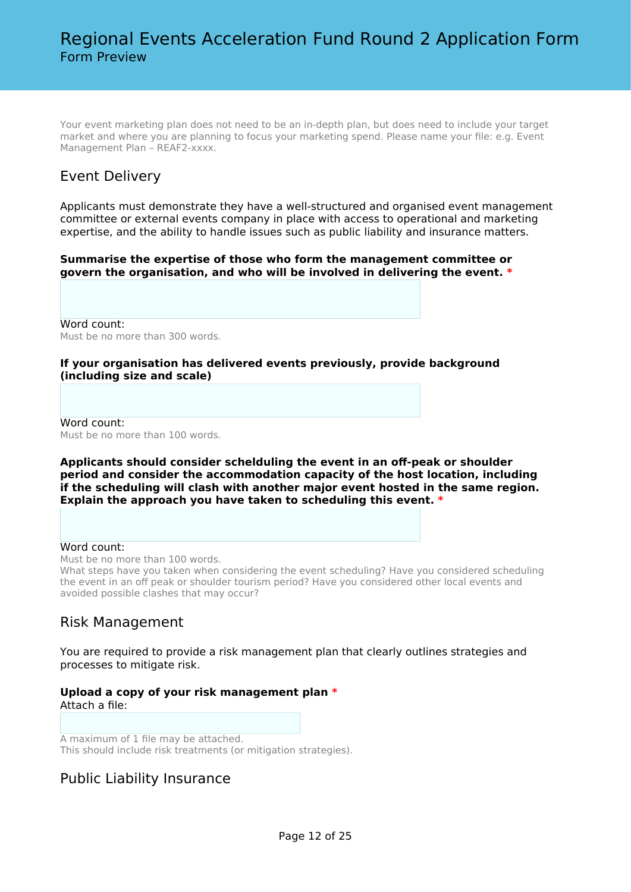Your event marketing plan does not need to be an in-depth plan, but does need to include your target market and where you are planning to focus your marketing spend. Please name your file: e.g. Event Management Plan – REAF2-xxxx.

# Event Delivery

Applicants must demonstrate they have a well-structured and organised event management committee or external events company in place with access to operational and marketing expertise, and the ability to handle issues such as public liability and insurance matters.

#### **Summarise the expertise of those who form the management committee or govern the organisation, and who will be involved in delivering the event. \***

Word count: Must be no more than 300 words.

### **If your organisation has delivered events previously, provide background (including size and scale)**

Word count: Must be no more than 100 words.

**Applicants should consider schelduling the event in an off-peak or shoulder period and consider the accommodation capacity of the host location, including if the scheduling will clash with another major event hosted in the same region. Explain the approach you have taken to scheduling this event. \***

### Word count:

Must be no more than 100 words.

What steps have you taken when considering the event scheduling? Have you considered scheduling the event in an off peak or shoulder tourism period? Have you considered other local events and avoided possible clashes that may occur?

# Risk Management

You are required to provide a risk management plan that clearly outlines strategies and processes to mitigate risk.

#### **Upload a copy of your risk management plan \*** Attach a file:

A maximum of 1 file may be attached. This should include risk treatments (or mitigation strategies).

# Public Liability Insurance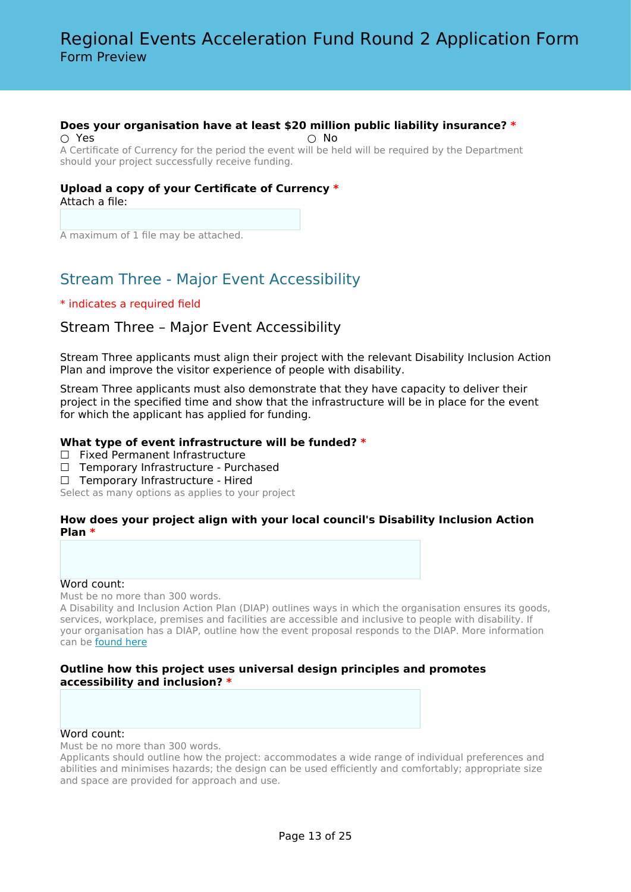### **Does your organisation have at least \$20 million public liability insurance? \***

○ Yes ○ No A Certificate of Currency for the period the event will be held will be required by the Department should your project successfully receive funding.

# **Upload a copy of your Certificate of Currency \***

Attach a file:

A maximum of 1 file may be attached.

# Stream Three - Major Event Accessibility

\* indicates a required field

# Stream Three – Major Event Accessibility

Stream Three applicants must align their project with the relevant Disability Inclusion Action Plan and improve the visitor experience of people with disability.

Stream Three applicants must also demonstrate that they have capacity to deliver their project in the specified time and show that the infrastructure will be in place for the event for which the applicant has applied for funding.

### **What type of event infrastructure will be funded? \***

□ Fixed Permanent Infrastructure

- ☐ Temporary Infrastructure Purchased
- □ Temporary Infrastructure Hired

Select as many options as applies to your project

#### **How does your project align with your local council's Disability Inclusion Action Plan \***

#### Word count:

Must be no more than 300 words.

A Disability and Inclusion Action Plan (DIAP) outlines ways in which the organisation ensures its goods, services, workplace, premises and facilities are accessible and inclusive to people with disability. If your organisation has a DIAP, outline how the event proposal responds to the DIAP. More information can be [found here](https://www.facs.nsw.gov.au/inclusion/advisory-councils/disability/inclusion-plans/chapters/register)

#### **Outline how this project uses universal design principles and promotes accessibility and inclusion? \***

#### Word count:

Must be no more than 300 words.

Applicants should outline how the project: accommodates a wide range of individual preferences and abilities and minimises hazards; the design can be used efficiently and comfortably; appropriate size and space are provided for approach and use.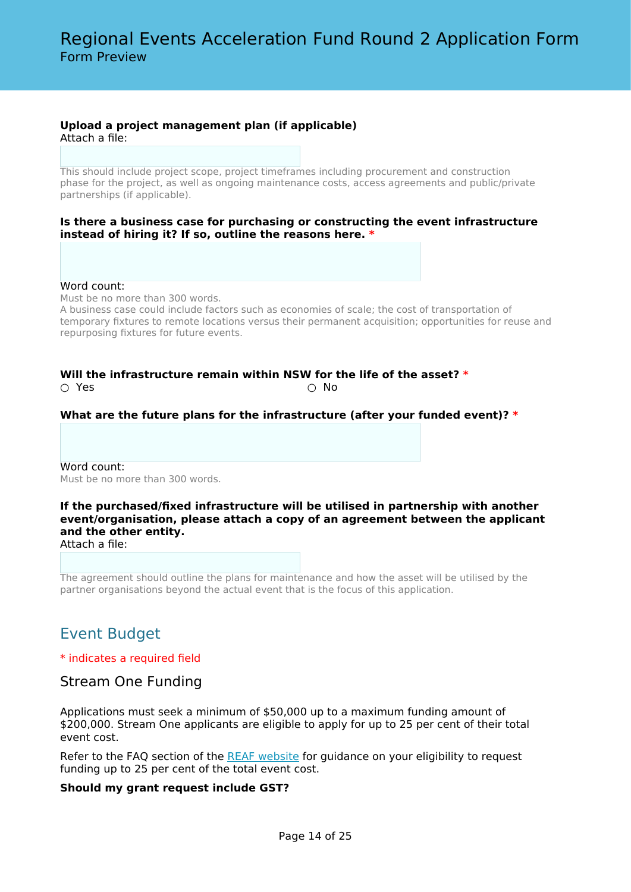# **Upload a project management plan (if applicable)**

Attach a file:

This should include project scope, project timeframes including procurement and construction phase for the project, as well as ongoing maintenance costs, access agreements and public/private partnerships (if applicable).

#### **Is there a business case for purchasing or constructing the event infrastructure instead of hiring it? If so, outline the reasons here. \***

#### Word count:

Must be no more than 300 words.

A business case could include factors such as economies of scale; the cost of transportation of temporary fixtures to remote locations versus their permanent acquisition; opportunities for reuse and repurposing fixtures for future events.

**Will the infrastructure remain within NSW for the life of the asset? \*** ○ Yes ○ No

# **What are the future plans for the infrastructure (after your funded event)? \***

Word count: Must be no more than 300 words.

# **If the purchased/fixed infrastructure will be utilised in partnership with another event/organisation, please attach a copy of an agreement between the applicant and the other entity.**

Attach a file:

The agreement should outline the plans for maintenance and how the asset will be utilised by the partner organisations beyond the actual event that is the focus of this application.

# Event Budget

### \* indicates a required field

# Stream One Funding

Applications must seek a minimum of \$50,000 up to a maximum funding amount of \$200,000. Stream One applicants are eligible to apply for up to 25 per cent of their total event cost.

Refer to the FAQ section of the [REAF website](https://www.nsw.gov.au/regional-growth-fund/regional-events-acceleration-fund) for guidance on your eligibility to request funding up to 25 per cent of the total event cost.

### **Should my grant request include GST?**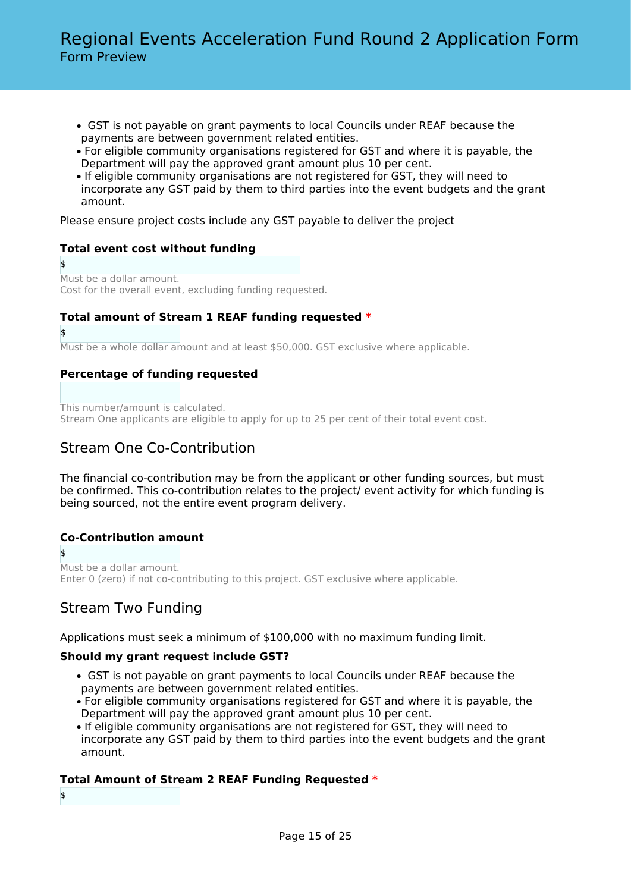- GST is not payable on grant payments to local Councils under REAF because the payments are between government related entities.
- For eligible community organisations registered for GST and where it is payable, the Department will pay the approved grant amount plus 10 per cent.
- If eligible community organisations are not registered for GST, they will need to incorporate any GST paid by them to third parties into the event budgets and the grant amount.

Please ensure project costs include any GST payable to deliver the project

### **Total event cost without funding**

\$ Must be a dollar amount. Cost for the overall event, excluding funding requested.

# **Total amount of Stream 1 REAF funding requested \***

\$

Must be a whole dollar amount and at least \$50,000. GST exclusive where applicable.

# **Percentage of funding requested**

This number/amount is calculated. Stream One applicants are eligible to apply for up to 25 per cent of their total event cost.

# Stream One Co-Contribution

The financial co-contribution may be from the applicant or other funding sources, but must be confirmed. This co-contribution relates to the project/ event activity for which funding is being sourced, not the entire event program delivery.

# **Co-Contribution amount**

\$ Must be a dollar amount. Enter 0 (zero) if not co-contributing to this project. GST exclusive where applicable.

# Stream Two Funding

Applications must seek a minimum of \$100,000 with no maximum funding limit.

# **Should my grant request include GST?**

- GST is not payable on grant payments to local Councils under REAF because the payments are between government related entities.
- For eligible community organisations registered for GST and where it is payable, the Department will pay the approved grant amount plus 10 per cent.
- If eligible community organisations are not registered for GST, they will need to incorporate any GST paid by them to third parties into the event budgets and the grant amount.

# **Total Amount of Stream 2 REAF Funding Requested \***

\$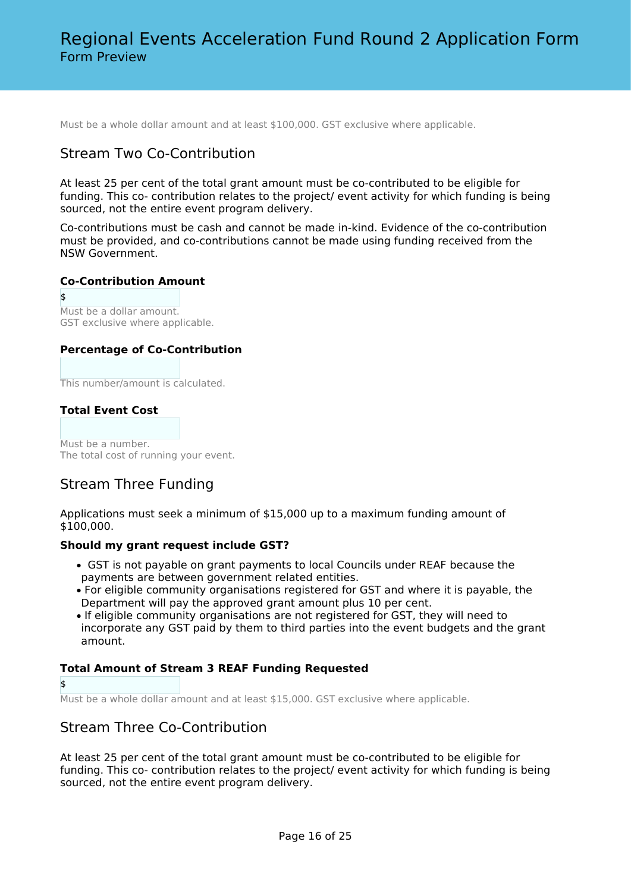Must be a whole dollar amount and at least \$100,000. GST exclusive where applicable.

# Stream Two Co-Contribution

At least 25 per cent of the total grant amount must be co-contributed to be eligible for funding. This co- contribution relates to the project/ event activity for which funding is being sourced, not the entire event program delivery.

Co-contributions must be cash and cannot be made in-kind. Evidence of the co-contribution must be provided, and co-contributions cannot be made using funding received from the NSW Government.

# **Co-Contribution Amount**

 $\ddot{\bm{\zeta}}$ Must be a dollar amount. GST exclusive where applicable.

# **Percentage of Co-Contribution**

This number/amount is calculated.

# **Total Event Cost**

Must be a number. The total cost of running your event.

# Stream Three Funding

Applications must seek a minimum of \$15,000 up to a maximum funding amount of \$100,000.

# **Should my grant request include GST?**

- GST is not payable on grant payments to local Councils under REAF because the payments are between government related entities.
- For eligible community organisations registered for GST and where it is payable, the Department will pay the approved grant amount plus 10 per cent.
- If eligible community organisations are not registered for GST, they will need to incorporate any GST paid by them to third parties into the event budgets and the grant amount.

# **Total Amount of Stream 3 REAF Funding Requested**

 $\ddot{\bm{\zeta}}$ 

Must be a whole dollar amount and at least \$15,000. GST exclusive where applicable.

# Stream Three Co-Contribution

At least 25 per cent of the total grant amount must be co-contributed to be eligible for funding. This co- contribution relates to the project/ event activity for which funding is being sourced, not the entire event program delivery.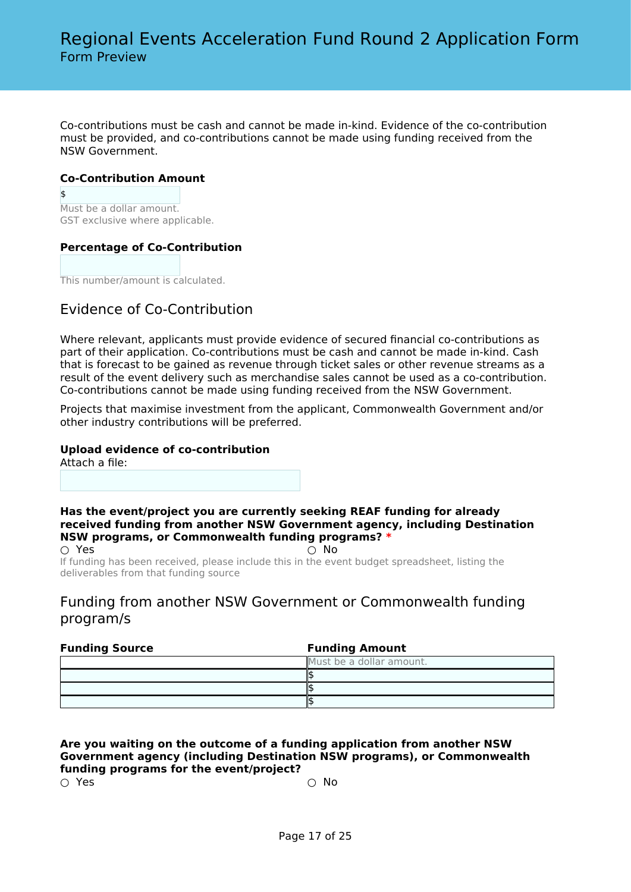Co-contributions must be cash and cannot be made in-kind. Evidence of the co-contribution must be provided, and co-contributions cannot be made using funding received from the NSW Government.

### **Co-Contribution Amount**

 $\ddot{\bm{\zeta}}$ Must be a dollar amount. GST exclusive where applicable.

### **Percentage of Co-Contribution**

This number/amount is calculated.

# Evidence of Co-Contribution

Where relevant, applicants must provide evidence of secured financial co-contributions as part of their application. Co-contributions must be cash and cannot be made in-kind. Cash that is forecast to be gained as revenue through ticket sales or other revenue streams as a result of the event delivery such as merchandise sales cannot be used as a co-contribution. Co-contributions cannot be made using funding received from the NSW Government.

Projects that maximise investment from the applicant, Commonwealth Government and/or other industry contributions will be preferred.

### **Upload evidence of co-contribution**

Attach a file:

### **Has the event/project you are currently seeking REAF funding for already received funding from another NSW Government agency, including Destination NSW programs, or Commonwealth funding programs? \***

 $\bigcirc$  Yes  $\bigcirc$  No If funding has been received, please include this in the event budget spreadsheet, listing the deliverables from that funding source

# Funding from another NSW Government or Commonwealth funding program/s

| <b>Funding Source</b> | <b>Funding Amount</b>    |  |
|-----------------------|--------------------------|--|
|                       | Must be a dollar amount. |  |
|                       |                          |  |
|                       |                          |  |
|                       |                          |  |

### **Are you waiting on the outcome of a funding application from another NSW Government agency (including Destination NSW programs), or Commonwealth funding programs for the event/project?**

 $\bigcirc$  Yes  $\bigcirc$  No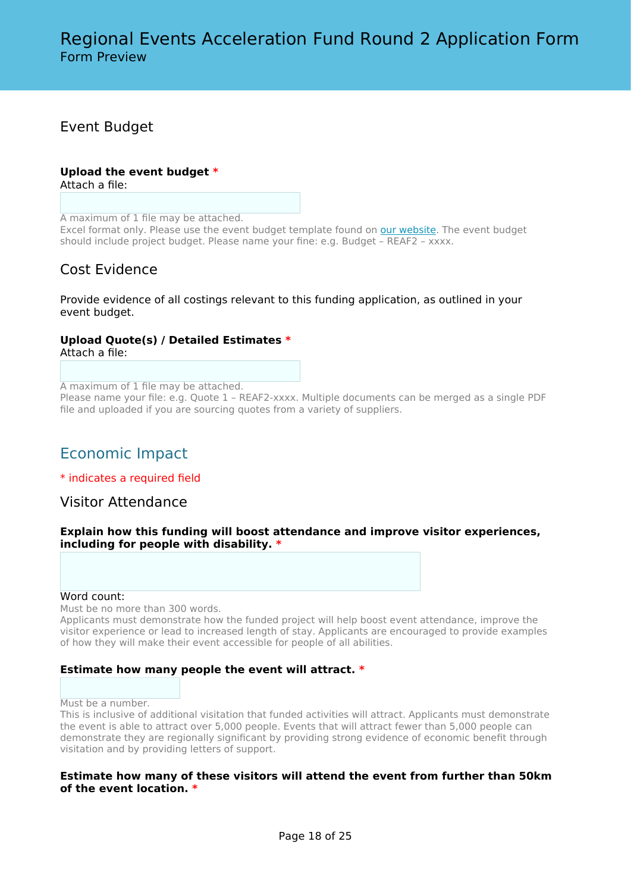Event Budget

**Upload the event budget \*** Attach a file:

A maximum of 1 file may be attached. Excel format only. Please use the event budget template found on [our website.](https://www.nsw.gov.au/regional-growth-fund/regional-events-acceleration-fund) The event budget should include project budget. Please name your fine: e.g. Budget – REAF2 – xxxx.

# Cost Evidence

Provide evidence of all costings relevant to this funding application, as outlined in your event budget.

# **Upload Quote(s) / Detailed Estimates \***

Attach a file:

A maximum of 1 file may be attached.

Please name your file: e.g. Quote 1 – REAF2-xxxx. Multiple documents can be merged as a single PDF file and uploaded if you are sourcing quotes from a variety of suppliers.

# Economic Impact

\* indicates a required field

# Visitor Attendance

### **Explain how this funding will boost attendance and improve visitor experiences, including for people with disability. \***

### Word count:

Must be no more than 300 words.

Applicants must demonstrate how the funded project will help boost event attendance, improve the visitor experience or lead to increased length of stay. Applicants are encouraged to provide examples of how they will make their event accessible for people of all abilities.

### **Estimate how many people the event will attract. \***

### Must be a number.

This is inclusive of additional visitation that funded activities will attract. Applicants must demonstrate the event is able to attract over 5,000 people. Events that will attract fewer than 5,000 people can demonstrate they are regionally significant by providing strong evidence of economic benefit through visitation and by providing letters of support.

### **Estimate how many of these visitors will attend the event from further than 50km of the event location. \***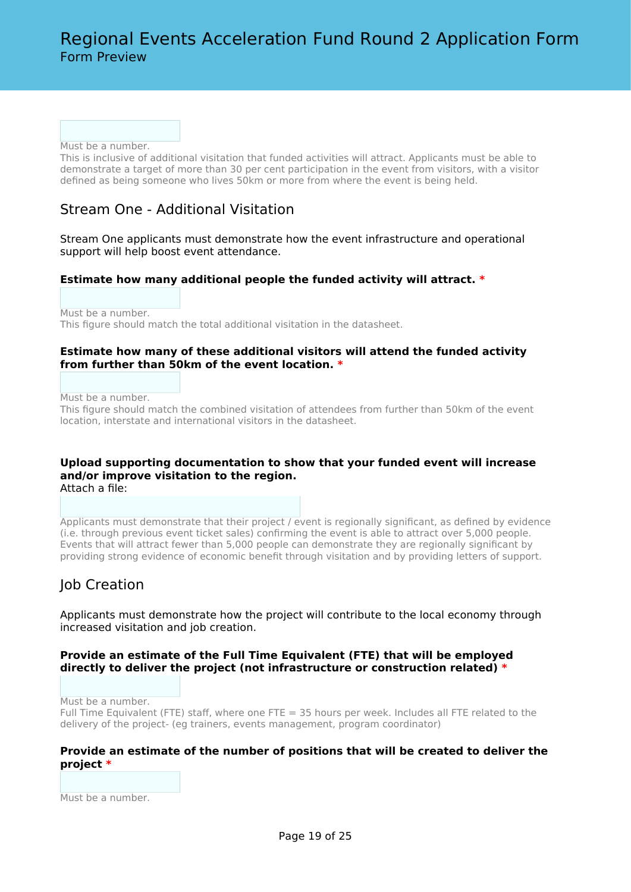Must be a number.

This is inclusive of additional visitation that funded activities will attract. Applicants must be able to demonstrate a target of more than 30 per cent participation in the event from visitors, with a visitor defined as being someone who lives 50km or more from where the event is being held.

# Stream One - Additional Visitation

Stream One applicants must demonstrate how the event infrastructure and operational support will help boost event attendance.

### **Estimate how many additional people the funded activity will attract. \***

Must be a number. This figure should match the total additional visitation in the datasheet.

### **Estimate how many of these additional visitors will attend the funded activity from further than 50km of the event location. \***

Must be a number.

This figure should match the combined visitation of attendees from further than 50km of the event location, interstate and international visitors in the datasheet.

#### **Upload supporting documentation to show that your funded event will increase and/or improve visitation to the region.** Attach a file:

Applicants must demonstrate that their project / event is regionally significant, as defined by evidence (i.e. through previous event ticket sales) confirming the event is able to attract over 5,000 people. Events that will attract fewer than 5,000 people can demonstrate they are regionally significant by providing strong evidence of economic benefit through visitation and by providing letters of support.

# Job Creation

Applicants must demonstrate how the project will contribute to the local economy through increased visitation and job creation.

### **Provide an estimate of the Full Time Equivalent (FTE) that will be employed directly to deliver the project (not infrastructure or construction related) \***

Must be a number.

Full Time Equivalent (FTE) staff, where one FTE = 35 hours per week. Includes all FTE related to the delivery of the project- (eg trainers, events management, program coordinator)

### **Provide an estimate of the number of positions that will be created to deliver the project \***

Must be a number.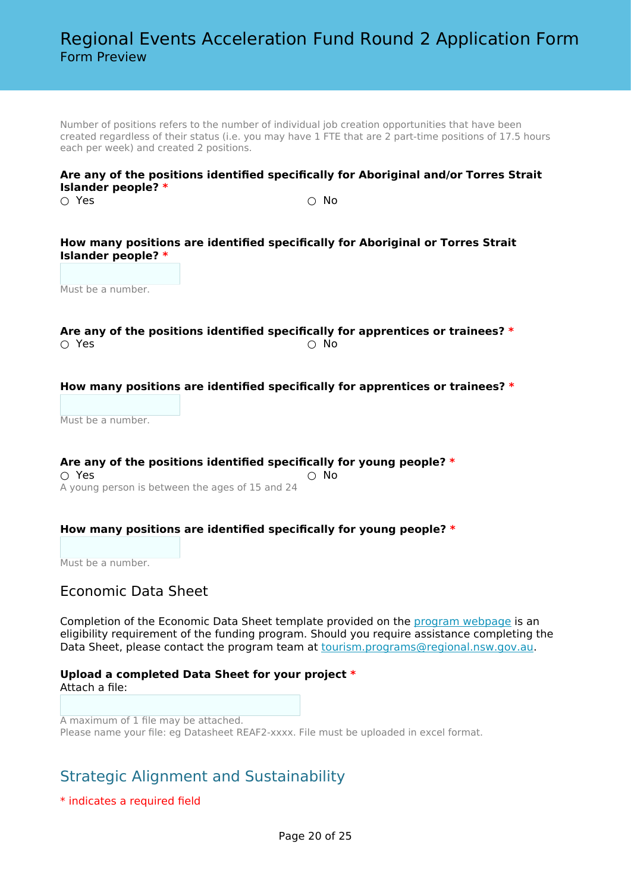Number of positions refers to the number of individual job creation opportunities that have been created regardless of their status (i.e. you may have 1 FTE that are 2 part-time positions of 17.5 hours each per week) and created 2 positions.

### **Are any of the positions identified specifically for Aboriginal and/or Torres Strait Islander people? \***

 $\bigcirc$  Yes  $\bigcirc$  No

# **How many positions are identified specifically for Aboriginal or Torres Strait Islander people? \***

Must be a number.

### **Are any of the positions identified specifically for apprentices or trainees? \***  $\bigcirc$  Yes  $\bigcirc$  No

# **How many positions are identified specifically for apprentices or trainees? \***

Must be a number.

# **Are any of the positions identified specifically for young people? \***

 $\bigcirc$  Yes  $\bigcirc$  No A young person is between the ages of 15 and 24

# **How many positions are identified specifically for young people? \***

Must be a number.

# Economic Data Sheet

Completion of the Economic Data Sheet template provided on the [program webpage](https://www.nsw.gov.au/regional-growth-fund/regional-events-acceleration-fund) is an eligibility requirement of the funding program. Should you require assistance completing the Data Sheet, please contact the program team at [tourism.programs@regional.nsw.gov.au](mailto:tourism.programs@regional.nsw.gov.au).

#### **Upload a completed Data Sheet for your project \*** Attach a file:

A maximum of 1 file may be attached. Please name your file: eg Datasheet REAF2-xxxx. File must be uploaded in excel format.

# Strategic Alignment and Sustainability

\* indicates a required field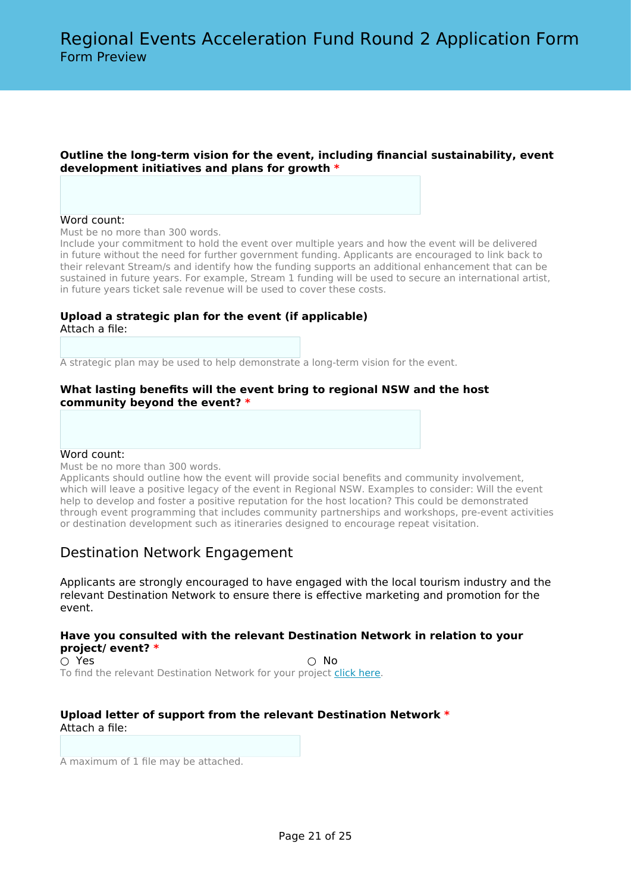### **Outline the long-term vision for the event, including financial sustainability, event development initiatives and plans for growth \***

#### Word count:

Must be no more than 300 words.

Include your commitment to hold the event over multiple years and how the event will be delivered in future without the need for further government funding. Applicants are encouraged to link back to their relevant Stream/s and identify how the funding supports an additional enhancement that can be sustained in future years. For example, Stream 1 funding will be used to secure an international artist, in future years ticket sale revenue will be used to cover these costs.

# **Upload a strategic plan for the event (if applicable)**

Attach a file:

A strategic plan may be used to help demonstrate a long-term vision for the event.

#### **What lasting benefits will the event bring to regional NSW and the host community beyond the event? \***

#### Word count:

Must be no more than 300 words.

Applicants should outline how the event will provide social benefits and community involvement, which will leave a positive legacy of the event in Regional NSW. Examples to consider: Will the event help to develop and foster a positive reputation for the host location? This could be demonstrated through event programming that includes community partnerships and workshops, pre-event activities or destination development such as itineraries designed to encourage repeat visitation.

# Destination Network Engagement

Applicants are strongly encouraged to have engaged with the local tourism industry and the relevant Destination Network to ensure there is effective marketing and promotion for the event.

#### **Have you consulted with the relevant Destination Network in relation to your project/ event? \***

 $\bigcirc$  Yes  $\bigcirc$  No To find the relevant Destination Network for your project [click here](https://www.destinationnsw.com.au/tourism/business-development-resources/destination-management-and-marketing/destination-management-planning).

### **Upload letter of support from the relevant Destination Network \*** Attach a file:

A maximum of 1 file may be attached.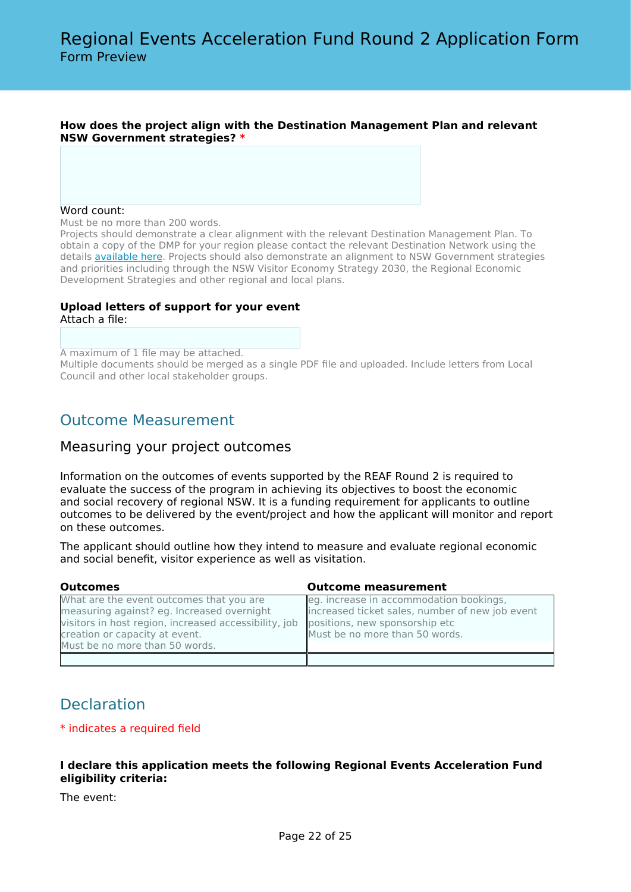#### **How does the project align with the Destination Management Plan and relevant NSW Government strategies? \***

#### Word count:

Must be no more than 200 words.

Projects should demonstrate a clear alignment with the relevant Destination Management Plan. To obtain a copy of the DMP for your region please contact the relevant Destination Network using the details [available here](https://www.destinationnsw.com.au/tourism/business-development-resources/destination-management-and-marketing/destination-management-planning). Projects should also demonstrate an alignment to NSW Government strategies and priorities including through the NSW Visitor Economy Strategy 2030, the Regional Economic Development Strategies and other regional and local plans.

#### **Upload letters of support for your event** Attach a file:

A maximum of 1 file may be attached.

Multiple documents should be merged as a single PDF file and uploaded. Include letters from Local Council and other local stakeholder groups.

# Outcome Measurement

# Measuring your project outcomes

Information on the outcomes of events supported by the REAF Round 2 is required to evaluate the success of the program in achieving its objectives to boost the economic and social recovery of regional NSW. It is a funding requirement for applicants to outline outcomes to be delivered by the event/project and how the applicant will monitor and report on these outcomes.

The applicant should outline how they intend to measure and evaluate regional economic and social benefit, visitor experience as well as visitation.

| <b>Outcomes</b>                                                                                                                                                                                                     | <b>Outcome measurement</b>                                                                                                                                     |
|---------------------------------------------------------------------------------------------------------------------------------------------------------------------------------------------------------------------|----------------------------------------------------------------------------------------------------------------------------------------------------------------|
| What are the event outcomes that you are<br>measuring against? eg. Increased overnight<br>visitors in host region, increased accessibility, job<br>creation or capacity at event.<br>Must be no more than 50 words. | eg. increase in accommodation bookings,<br>increased ticket sales, number of new job event<br>positions, new sponsorship etc<br>Must be no more than 50 words. |
|                                                                                                                                                                                                                     |                                                                                                                                                                |

# Declaration

### \* indicates a required field

### **I declare this application meets the following Regional Events Acceleration Fund eligibility criteria:**

The event: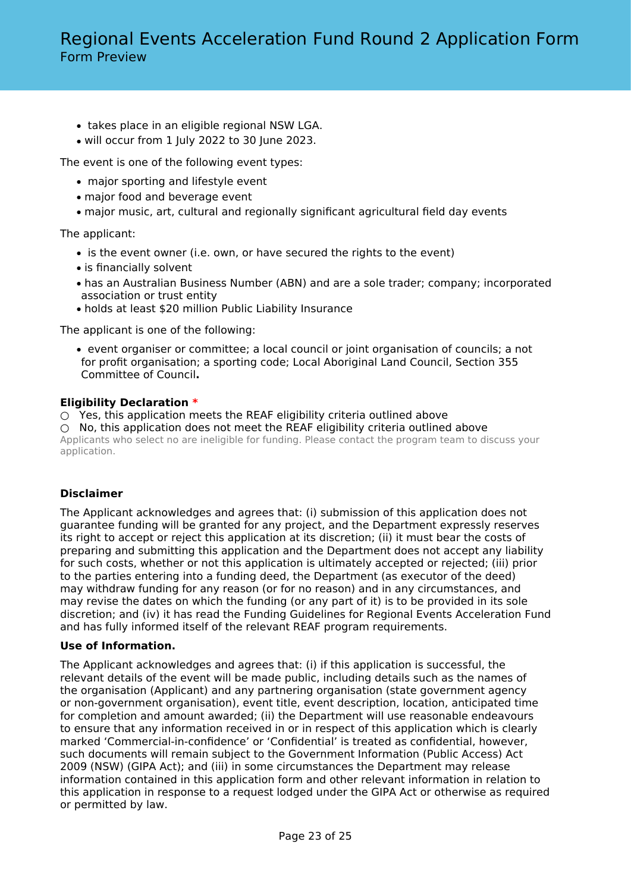- takes place in an eligible regional NSW LGA.
- will occur from 1 July 2022 to 30 June 2023.

The event is one of the following event types:

- major sporting and lifestyle event
- major food and beverage event
- major music, art, cultural and regionally significant agricultural field day events

The applicant:

- is the event owner (i.e. own, or have secured the rights to the event)
- is financially solvent
- has an Australian Business Number (ABN) and are a sole trader; company; incorporated association or trust entity
- holds at least \$20 million Public Liability Insurance

The applicant is one of the following:

• event organiser or committee; a local council or joint organisation of councils; a not for profit organisation; a sporting code; Local Aboriginal Land Council, Section 355 Committee of Council**.**

### **Eligibility Declaration \***

 $\circ$  Yes, this application meets the REAF eligibility criteria outlined above

 $\cap$  No, this application does not meet the REAF eligibility criteria outlined above Applicants who select no are ineligible for funding. Please contact the program team to discuss your application.

# **Disclaimer**

The Applicant acknowledges and agrees that: (i) submission of this application does not guarantee funding will be granted for any project, and the Department expressly reserves its right to accept or reject this application at its discretion; (ii) it must bear the costs of preparing and submitting this application and the Department does not accept any liability for such costs, whether or not this application is ultimately accepted or rejected; (iii) prior to the parties entering into a funding deed, the Department (as executor of the deed) may withdraw funding for any reason (or for no reason) and in any circumstances, and may revise the dates on which the funding (or any part of it) is to be provided in its sole discretion; and (iv) it has read the Funding Guidelines for Regional Events Acceleration Fund and has fully informed itself of the relevant REAF program requirements.

### **Use of Information.**

The Applicant acknowledges and agrees that: (i) if this application is successful, the relevant details of the event will be made public, including details such as the names of the organisation (Applicant) and any partnering organisation (state government agency or non-government organisation), event title, event description, location, anticipated time for completion and amount awarded; (ii) the Department will use reasonable endeavours to ensure that any information received in or in respect of this application which is clearly marked 'Commercial-in-confidence' or 'Confidential' is treated as confidential, however, such documents will remain subject to the Government Information (Public Access) Act 2009 (NSW) (GIPA Act); and (iii) in some circumstances the Department may release information contained in this application form and other relevant information in relation to this application in response to a request lodged under the GIPA Act or otherwise as required or permitted by law.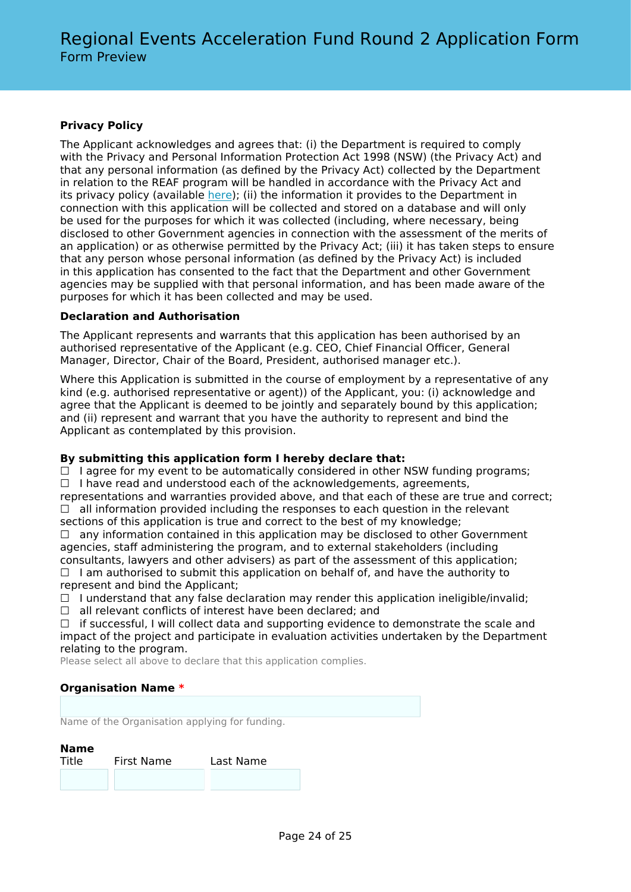# **Privacy Policy**

The Applicant acknowledges and agrees that: (i) the Department is required to comply with the Privacy and Personal Information Protection Act 1998 (NSW) (the Privacy Act) and that any personal information (as defined by the Privacy Act) collected by the Department in relation to the REAF program will be handled in accordance with the Privacy Act and its privacy policy (available [here](https://www.dpc.nsw.gov.au/privacy)); (ii) the information it provides to the Department in connection with this application will be collected and stored on a database and will only be used for the purposes for which it was collected (including, where necessary, being disclosed to other Government agencies in connection with the assessment of the merits of an application) or as otherwise permitted by the Privacy Act; (iii) it has taken steps to ensure that any person whose personal information (as defined by the Privacy Act) is included in this application has consented to the fact that the Department and other Government agencies may be supplied with that personal information, and has been made aware of the purposes for which it has been collected and may be used.

### **Declaration and Authorisation**

The Applicant represents and warrants that this application has been authorised by an authorised representative of the Applicant (e.g. CEO, Chief Financial Officer, General Manager, Director, Chair of the Board, President, authorised manager etc.).

Where this Application is submitted in the course of employment by a representative of any kind (e.g. authorised representative or agent)) of the Applicant, you: (i) acknowledge and agree that the Applicant is deemed to be jointly and separately bound by this application; and (ii) represent and warrant that you have the authority to represent and bind the Applicant as contemplated by this provision.

# **By submitting this application form I hereby declare that:**

 $\Box$  I agree for my event to be automatically considered in other NSW funding programs;  $\Box$  I have read and understood each of the acknowledgements, agreements,

representations and warranties provided above, and that each of these are true and correct;  $\Box$  all information provided including the responses to each question in the relevant sections of this application is true and correct to the best of my knowledge;

 $\Box$  any information contained in this application may be disclosed to other Government agencies, staff administering the program, and to external stakeholders (including consultants, lawyers and other advisers) as part of the assessment of this application;  $\Box$  I am authorised to submit this application on behalf of, and have the authority to

- represent and bind the Applicant;
- $\Box$  I understand that any false declaration may render this application ineligible/invalid;
- $\Box$  all relevant conflicts of interest have been declared; and

 $\Box$  if successful, I will collect data and supporting evidence to demonstrate the scale and impact of the project and participate in evaluation activities undertaken by the Department relating to the program.

Please select all above to declare that this application complies.

# **Organisation Name \***

Name of the Organisation applying for funding.

### **Name**

| Title | First Name | Last Name |  |
|-------|------------|-----------|--|
|       |            |           |  |